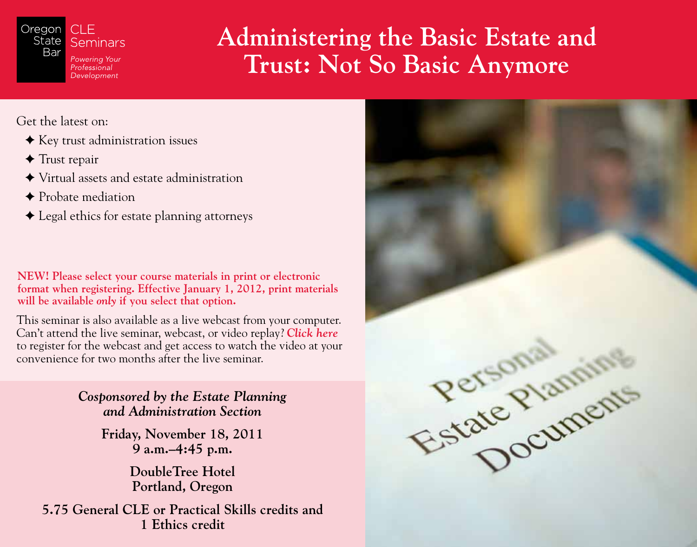

# **Administering the Basic Estate and Trust: Not So Basic Anymore**

Get the latest on:

- $\triangle$  Key trust administration issues
- $\triangleleft$  Trust repair
- Virtual assets and estate administration
- ◆ Probate mediation
- Legal ethics for estate planning attorneys

**NEW! Please select your course materials in print or electronic format when registering. Effective January 1, 2012, print materials will be available** *only* **if you select that option.**

This seminar is also available as a live webcast from your computer. Can't attend the live seminar, webcast, or video replay? *[Click here](http://www.legalspan.com/osbar/webcasts.asp?ItemID=20110930-102726-121918)*  to register for the webcast and get access to watch the video at your convenience for two months after the live seminar.

> *Cosponsored by the Estate Planning and Administration Section*

> > **Friday, November 18, 2011 9 a.m.–4:45 p.m.**

> > > **DoubleTree Hotel Portland, Oregon**

**5.75 General CLE or Practical Skills credits and 1 Ethics credit**

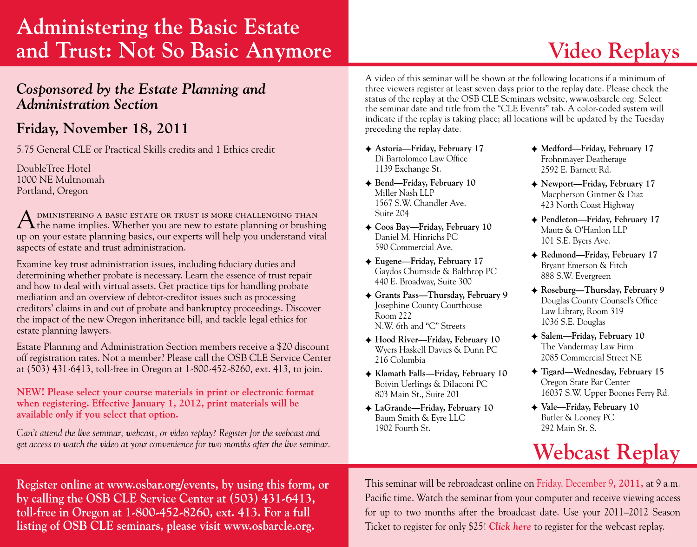# **Administering the Basic Estate and Trust: Not So Basic Anymore**

## *Cosponsored by the Estate Planning and Administration Section*

## **Friday, November 18, 2011**

5.75 General CLE or Practical Skills credits and 1 Ethics credit

DoubleTree Hotel 1000 NE Multnomah Portland, Oregon

A DMINISTERING A BASIC ESTATE OR TRUST IS MORE CHALLENGING THAN the name implies. Whether you are new to estate planning or brushing up on your estate planning basics, our experts will help you understand vital aspects of estate and trust administration.

Examine key trust administration issues, including fiduciary duties and determining whether probate is necessary. Learn the essence of trust repair and how to deal with virtual assets. Get practice tips for handling probate mediation and an overview of debtor-creditor issues such as processing creditors' claims in and out of probate and bankruptcy proceedings. Discover the impact of the new Oregon inheritance bill, and tackle legal ethics for estate planning lawyers.

Estate Planning and Administration Section members receive a \$20 discount off registration rates. Not a member? Please call the OSB CLE Service Center at (503) 431-6413, toll-free in Oregon at 1-800-452-8260, ext. 413, to join.

**NEW! Please select your course materials in print or electronic format when registering. Effective January 1, 2012, print materials will be available** *only* **if you select that option.**

292 Main St. S. *Can't attend the live seminar, webcast, or video replay? Register for the webcast and get access to watch the video at your convenience for two months after the live seminar.*

A video of this seminar will be shown at the following locations if a minimum of three viewers register at least seven days prior to the replay date. Please check the status of the replay at the [OSB CLE Seminars website, www.osbarcle.org.](http://osbarcle.org) Select the seminar date and title from the "CLE Events" tab. A color-coded system will indicate if the replay is taking place; all locations will be updated by the Tuesday preceding the replay date.

- **Astoria—Friday, February 17** Di Bartolomeo Law Office 1139 Exchange St.
- **Bend—Friday, February 10** Miller Nash LLP 1567 S.W. Chandler Ave. Suite 204
- **Coos Bay—Friday, February 10** Daniel M. Hinrichs PC 590 Commercial Ave.
- **Eugene—Friday, February 17** Gaydos Churnside & Balthrop PC 440 E. Broadway, Suite 300
- **Grants Pass—Thursday, February 9** Josephine County Courthouse Room 222 N.W. 6th and "C" Streets
- **Hood River—Friday, February 10** Wyers Haskell Davies & Dunn PC 216 Columbia
- **Klamath Falls—Friday, February 10** Boivin Uerlings & DiIaconi PC 803 Main St., Suite 201
- **LaGrande—Friday, February 10** Baum Smith & Eyre LLC 1902 Fourth St.
- **Medford—Friday, February 17** Frohnmayer Deatherage 2592 E. Barnett Rd.
- **Newport—Friday, February 17** Macpherson Gintner & Diaz 423 North Coast Highway
- **Pendleton—Friday, February 17** Mautz & O'Hanlon LLP 101 S.E. Byers Ave.
- **Redmond—Friday, February 17** Bryant Emerson & Fitch 888 S.W. Evergreen
- **Roseburg—Thursday, February 9** Douglas County Counsel's Office Law Library, Room 319 1036 S.E. Douglas
- **Salem—Friday, February 10** The Vandermay Law Firm 2085 Commercial Street NE
- **Tigard—Wednesday, February 15** Oregon State Bar Center 16037 S.W. Upper Boones Ferry Rd.
- **Vale—Friday, February 10** Butler & Looney PC

# **Webcast Replay**

**Register online at [www.osbar.org/](https://www.osbar.org/store/reg/regsystem.asp?m=oneevent&ci=REG[f]ABE11[f][f])events, by using this form, or by calling the OSB CLE Service Center at (503) 431-6413, toll-free in Oregon at 1-800-452-8260, ext. 413. For a full listing of OSB CLE seminars, please visit [www.osbarcle.org.](http://www.osbarcle.org)**

This seminar will be rebroadcast online on Friday, December 9**, 2011,** at 9 a.m. Pacific time. Watch the seminar from your computer and receive viewing access for up to two months after the broadcast date. Use your 2011–2012 Season Ticket to register for only \$25! *[Click here](http://www.legalspan.com/osbar/webcasts.asp?ItemID=20111003-272095-70651)* to register for the webcast replay.

# **Video Replays**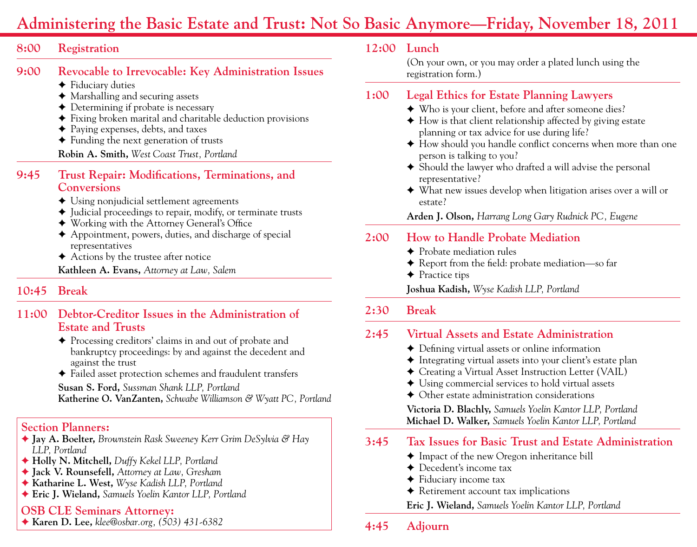# **Administering the Basic Estate and Trust: Not So Basic Anymore—Friday, November 18, 2011**

#### **8:00 Registration**

#### **9:00 Revocable to Irrevocable: Key Administration Issues**

- $\triangle$  Fiduciary duties
- $\triangleleft$  Marshalling and securing assets
- $\triangle$  Determining if probate is necessary
- $\blacklozenge$  Fixing broken marital and charitable deduction provisions
- $\triangle$  Paying expenses, debts, and taxes
- $\triangle$  Funding the next generation of trusts

**Robin A. Smith,** *West Coast Trust, Portland*

#### **9:45 Trust Repair: Modifications, Terminations, and Conversions**

- $\triangle$  Using nonjudicial settlement agreements
- $\blacklozenge$  Judicial proceedings to repair, modify, or terminate trusts
- F Working with the Attorney General's Office
- $\triangle$  Appointment, powers, duties, and discharge of special representatives
- $\triangle$  Actions by the trustee after notice

**Kathleen A. Evans,** *Attorney at Law, Salem*

## **10:45 Break**

#### **11:00 Debtor-Creditor Issues in the Administration of Estate and Trusts**

- $\triangle$  Processing creditors' claims in and out of probate and bankruptcy proceedings: by and against the decedent and against the trust
- $\triangle$  Failed asset protection schemes and fraudulent transfers

**Susan S. Ford,** *Sussman Shank LLP, Portland* **Katherine O. VanZanten,** *Schwabe Williamson & Wyatt PC, Portland*

### **Section Planners:**

- **Jay A. Boelter,** *Brownstein Rask Sweeney Kerr Grim DeSylvia & Hay LLP, Portland*
- **Holly N. Mitchell,** *Duffy Kekel LLP, Portland*
- **Jack V. Rounsefell,** *Attorney at Law, Gresham*
- **Katharine L. West,** *Wyse Kadish LLP, Portland*
- **Eric J. Wieland,** *Samuels Yoelin Kantor LLP, Portland*

#### **OSB CLE Seminars Attorney:**

**Karen D. Lee,** *[klee@osbar.org](mailto:klee%40osbar.org?subject=ABE11%20Administering%20the%20Basic%20Estate%20and%20Trust%3A%20Not%20So%20Basic%20Anymore), (503) 431-6382*

### **12:00 Lunch**

(On your own, or you may order a plated lunch using the registration form.)

## **1:00 Legal Ethics for Estate Planning Lawyers**

- $\blacklozenge$  Who is your client, before and after someone dies?
- $\triangle$  How is that client relationship affected by giving estate planning or tax advice for use during life?
- $\blacklozenge$  How should you handle conflict concerns when more than one person is talking to you?
- $\triangle$  Should the lawyer who drafted a will advise the personal representative?
- $\blacklozenge$  What new issues develop when litigation arises over a will or estate?

**Arden J. Olson,** *Harrang Long Gary Rudnick PC, Eugene*

#### **2:00 How to Handle Probate Mediation**

- $\triangle$  Probate mediation rules
- ◆ Report from the field: probate mediation—so far
- $\triangle$  Practice tips
- **Joshua Kadish,** *Wyse Kadish LLP, Portland*

#### **2:30 Break**

## **2:45 Virtual Assets and Estate Administration**

- $\triangle$  Defining virtual assets or online information
- $\triangleq$  Integrating virtual assets into your client's estate plan
- F Creating a Virtual Asset Instruction Letter (VAIL)
- $\triangle$  Using commercial services to hold virtual assets
- $\triangle$  Other estate administration considerations

**Victoria D. Blachly,** *Samuels Yoelin Kantor LLP, Portland* **Michael D. Walker,** *Samuels Yoelin Kantor LLP, Portland*

## **3:45 Tax Issues for Basic Trust and Estate Administration**

- $\triangle$  Impact of the new Oregon inheritance bill
- $\triangle$  Decedent's income tax
- $\triangle$  Fiduciary income tax
- $\triangle$  Retirement account tax implications
- **Eric J. Wieland,** *Samuels Yoelin Kantor LLP, Portland*

## **4:45 Adjourn**